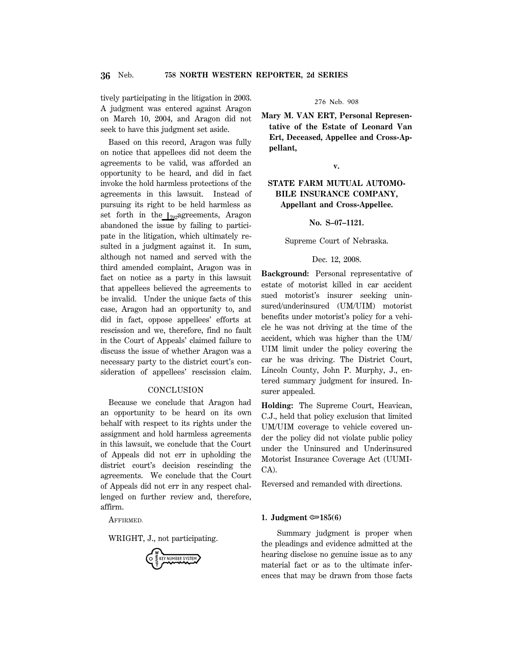tively participating in the litigation in 2003. A judgment was entered against Aragon on March 10, 2004, and Aragon did not seek to have this judgment set aside.

Based on this record, Aragon was fully on notice that appellees did not deem the agreements to be valid, was afforded an opportunity to be heard, and did in fact invoke the hold harmless protections of the agreements in this lawsuit. Instead of pursuing its right to be held harmless as set forth in the  $\log_{192}$ agreements, Aragon abandoned the issue by failing to participate in the litigation, which ultimately resulted in a judgment against it. In sum, although not named and served with the third amended complaint, Aragon was in fact on notice as a party in this lawsuit that appellees believed the agreements to be invalid. Under the unique facts of this case, Aragon had an opportunity to, and did in fact, oppose appellees' efforts at rescission and we, therefore, find no fault in the Court of Appeals' claimed failure to discuss the issue of whether Aragon was a necessary party to the district court's consideration of appellees' rescission claim.

## **CONCLUSION**

Because we conclude that Aragon had an opportunity to be heard on its own behalf with respect to its rights under the assignment and hold harmless agreements in this lawsuit, we conclude that the Court of Appeals did not err in upholding the district court's decision rescinding the agreements. We conclude that the Court of Appeals did not err in any respect challenged on further review and, therefore, affirm.

AFFIRMED.

WRIGHT, J., not participating.

KEY NUMBER SYSTEM

276 Neb. 908

**Mary M. VAN ERT, Personal Representative of the Estate of Leonard Van Ert, Deceased, Appellee and Cross-Appellant,**

**v.**

# **STATE FARM MUTUAL AUTOMO-BILE INSURANCE COMPANY, Appellant and Cross-Appellee.**

**No. S–07–1121.**

Supreme Court of Nebraska.

### Dec. 12, 2008.

**Background:** Personal representative of estate of motorist killed in car accident sued motorist's insurer seeking uninsured/underinsured (UM/UIM) motorist benefits under motorist's policy for a vehicle he was not driving at the time of the accident, which was higher than the UM/ UIM limit under the policy covering the car he was driving. The District Court, Lincoln County, John P. Murphy, J., entered summary judgment for insured. Insurer appealed.

**Holding:** The Supreme Court, Heavican, C.J., held that policy exclusion that limited UM/UIM coverage to vehicle covered under the policy did not violate public policy under the Uninsured and Underinsured Motorist Insurance Coverage Act (UUMI-CA).

Reversed and remanded with directions.

### **1. Judgment** O**185(6)**

Summary judgment is proper when the pleadings and evidence admitted at the hearing disclose no genuine issue as to any material fact or as to the ultimate inferences that may be drawn from those facts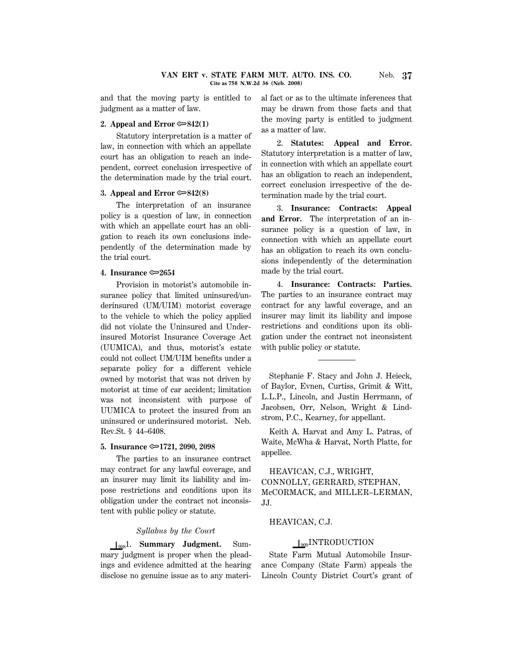and that the moving party is entitled to judgment as a matter of law.

## **2. Appeal and Error**  $\mathcal{F}$ **842(1)**

Statutory interpretation is a matter of law, in connection with which an appellate court has an obligation to reach an independent, correct conclusion irrespective of the determination made by the trial court.

## **3. Appeal and Error**  $\mathcal{F}$ **842(8)**

The interpretation of an insurance policy is a question of law, in connection with which an appellate court has an obligation to reach its own conclusions independently of the determination made by the trial court.

### **4. Insurance** O**2654**

Provision in motorist's automobile insurance policy that limited uninsured/underinsured (UM/UIM) motorist coverage to the vehicle to which the policy applied did not violate the Uninsured and Underinsured Motorist Insurance Coverage Act (UUMICA), and thus, motorist's estate could not collect UM/UIM benefits under a separate policy for a different vehicle owned by motorist that was not driven by motorist at time of car accident; limitation was not inconsistent with purpose of UUMICA to protect the insured from an uninsured or underinsured motorist. Neb. Rev.St. § 44–6408.

#### **5. Insurance** O**1721, 2090, 2098**

The parties to an insurance contract may contract for any lawful coverage, and an insurer may limit its liability and impose restrictions and conditions upon its obligation under the contract not inconsistent with public policy or statute.

#### *Syllabus by the Court*

S9081. **Summary Judgment.** Summary judgment is proper when the pleadings and evidence admitted at the hearing disclose no genuine issue as to any material fact or as to the ultimate inferences that may be drawn from those facts and that the moving party is entitled to judgment as a matter of law.

2. **Statutes: Appeal and Error.** Statutory interpretation is a matter of law, in connection with which an appellate court has an obligation to reach an independent, correct conclusion irrespective of the determination made by the trial court.

3. **Insurance: Contracts: Appeal and Error.** The interpretation of an insurance policy is a question of law, in connection with which an appellate court has an obligation to reach its own conclusions independently of the determination made by the trial court.

4. **Insurance: Contracts: Parties.** The parties to an insurance contract may contract for any lawful coverage, and an insurer may limit its liability and impose restrictions and conditions upon its obligation under the contract not inconsistent with public policy or statute.

Stephanie F. Stacy and John J. Heieck, of Baylor, Evnen, Curtiss, Grimit & Witt, L.L.P., Lincoln, and Justin Herrmann, of Jacobsen, Orr, Nelson, Wright & Lindstrom, P.C., Kearney, for appellant.

Keith A. Harvat and Amy L. Patras, of Waite, McWha & Harvat, North Platte, for appellee.

HEAVICAN, C.J., WRIGHT, CONNOLLY, GERRARD, STEPHAN, McCORMACK, and MILLER–LERMAN, JJ.

# HEAVICAN, C.J.

### $\bigcup_{909}$ INTRODUCTION

State Farm Mutual Automobile Insurance Company (State Farm) appeals the Lincoln County District Court's grant of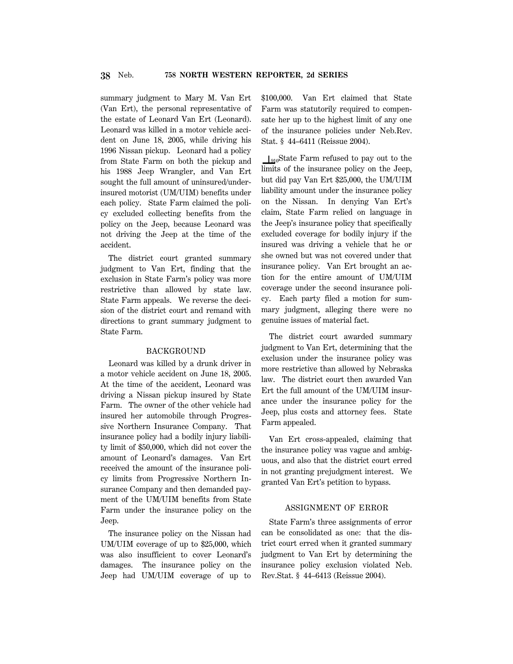summary judgment to Mary M. Van Ert (Van Ert), the personal representative of the estate of Leonard Van Ert (Leonard). Leonard was killed in a motor vehicle accident on June 18, 2005, while driving his 1996 Nissan pickup. Leonard had a policy from State Farm on both the pickup and his 1988 Jeep Wrangler, and Van Ert sought the full amount of uninsured/underinsured motorist (UM/UIM) benefits under each policy. State Farm claimed the policy excluded collecting benefits from the policy on the Jeep, because Leonard was not driving the Jeep at the time of the accident.

The district court granted summary judgment to Van Ert, finding that the exclusion in State Farm's policy was more restrictive than allowed by state law. State Farm appeals. We reverse the decision of the district court and remand with directions to grant summary judgment to State Farm.

### BACKGROUND

Leonard was killed by a drunk driver in a motor vehicle accident on June 18, 2005. At the time of the accident, Leonard was driving a Nissan pickup insured by State Farm. The owner of the other vehicle had insured her automobile through Progressive Northern Insurance Company. That insurance policy had a bodily injury liability limit of \$50,000, which did not cover the amount of Leonard's damages. Van Ert received the amount of the insurance policy limits from Progressive Northern Insurance Company and then demanded payment of the UM/UIM benefits from State Farm under the insurance policy on the Jeep.

The insurance policy on the Nissan had UM/UIM coverage of up to \$25,000, which was also insufficient to cover Leonard's damages. The insurance policy on the Jeep had UM/UIM coverage of up to \$100,000. Van Ert claimed that State Farm was statutorily required to compensate her up to the highest limit of any one of the insurance policies under Neb.Rev. Stat. § 44–6411 (Reissue 2004).

 $I_{910}$ State Farm refused to pay out to the limits of the insurance policy on the Jeep, but did pay Van Ert \$25,000, the UM/UIM liability amount under the insurance policy on the Nissan. In denying Van Ert's claim, State Farm relied on language in the Jeep's insurance policy that specifically excluded coverage for bodily injury if the insured was driving a vehicle that he or she owned but was not covered under that insurance policy. Van Ert brought an action for the entire amount of UM/UIM coverage under the second insurance policy. Each party filed a motion for summary judgment, alleging there were no genuine issues of material fact.

The district court awarded summary judgment to Van Ert, determining that the exclusion under the insurance policy was more restrictive than allowed by Nebraska law. The district court then awarded Van Ert the full amount of the UM/UIM insurance under the insurance policy for the Jeep, plus costs and attorney fees. State Farm appealed.

Van Ert cross-appealed, claiming that the insurance policy was vague and ambiguous, and also that the district court erred in not granting prejudgment interest. We granted Van Ert's petition to bypass.

## ASSIGNMENT OF ERROR

State Farm's three assignments of error can be consolidated as one: that the district court erred when it granted summary judgment to Van Ert by determining the insurance policy exclusion violated Neb. Rev.Stat. § 44–6413 (Reissue 2004).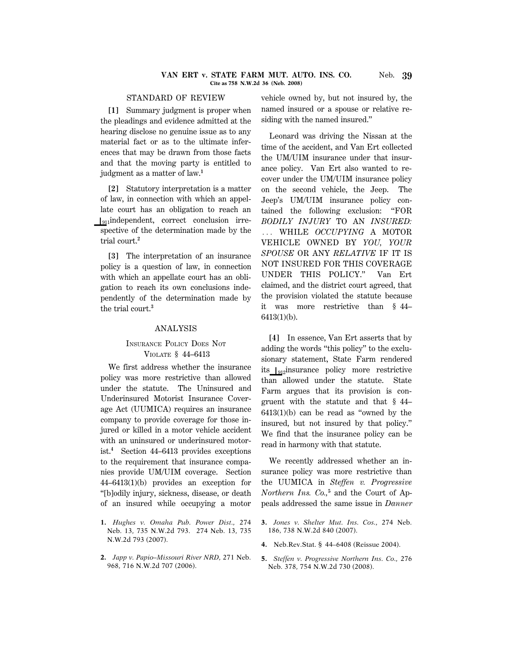#### **VAN ERT v. STATE FARM MUT. AUTO. INS. CO.** Neb. **39 Cite as 758 N.W.2d 36 (Neb. 2008)**

## STANDARD OF REVIEW

**[1]** Summary judgment is proper when the pleadings and evidence admitted at the hearing disclose no genuine issue as to any material fact or as to the ultimate inferences that may be drawn from those facts and that the moving party is entitled to judgment as a matter of law.**<sup>1</sup>**

**[2]** Statutory interpretation is a matter of law, in connection with which an appellate court has an obligation to reach an  $\int_{911}$ independent, correct conclusion irrespective of the determination made by the trial court.**<sup>2</sup>**

**[3]** The interpretation of an insurance policy is a question of law, in connection with which an appellate court has an obligation to reach its own conclusions independently of the determination made by the trial court.**<sup>3</sup>**

#### ANALYSIS

## INSURANCE POLICY DOES NOT VIOLATE § 44–6413

We first address whether the insurance policy was more restrictive than allowed under the statute. The Uninsured and Underinsured Motorist Insurance Coverage Act (UUMICA) requires an insurance company to provide coverage for those injured or killed in a motor vehicle accident with an uninsured or underinsured motorist.**<sup>4</sup>** Section 44–6413 provides exceptions to the requirement that insurance companies provide UM/UIM coverage. Section 44–6413(1)(b) provides an exception for ''[b]odily injury, sickness, disease, or death of an insured while occupying a motor

- **1.** *Hughes v. Omaha Pub. Power Dist.,* 274 Neb. 13, 735 N.W.2d 793. 274 Neb. 13, 735 N.W.2d 793 (2007).
- **2.** *Japp v. Papio–Missouri River NRD,* 271 Neb. 968, 716 N.W.2d 707 (2006).

vehicle owned by, but not insured by, the named insured or a spouse or relative residing with the named insured.''

Leonard was driving the Nissan at the time of the accident, and Van Ert collected the UM/UIM insurance under that insurance policy. Van Ert also wanted to recover under the UM/UIM insurance policy on the second vehicle, the Jeep. The Jeep's UM/UIM insurance policy contained the following exclusion: ''FOR *BODILY INJURY* TO AN *INSURED:* ... WHILE *OCCUPYING* A MOTOR VEHICLE OWNED BY *YOU, YOUR SPOUSE* OR ANY *RELATIVE* IF IT IS NOT INSURED FOR THIS COVERAGE UNDER THIS POLICY.'' Van Ert claimed, and the district court agreed, that the provision violated the statute because it was more restrictive than § 44– 6413(1)(b).

**[4]** In essence, Van Ert asserts that by adding the words ''this policy'' to the exclusionary statement, State Farm rendered its  $\left\vert_{912}\right\vert$ insurance policy more restrictive than allowed under the statute. State Farm argues that its provision is congruent with the statute and that § 44– 6413(1)(b) can be read as ''owned by the insured, but not insured by that policy.'' We find that the insurance policy can be read in harmony with that statute.

We recently addressed whether an insurance policy was more restrictive than the UUMICA in *Steffen v. Progressive Northern Ins. Co.,***<sup>5</sup>** and the Court of Appeals addressed the same issue in *Danner*

- **3.** *Jones v. Shelter Mut. Ins. Cos.,* 274 Neb. 186, 738 N.W.2d 840 (2007).
- **4.** Neb.Rev.Stat. § 44–6408 (Reissue 2004).
- **5.** *Steffen v. Progressive Northern Ins. Co.,* 276 Neb. 378, 754 N.W.2d 730 (2008).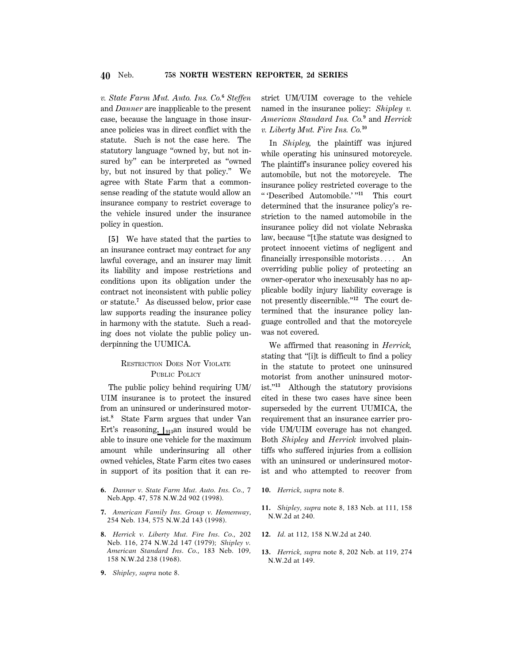*v. State Farm Mut. Auto. Ins. Co.***<sup>6</sup>** *Steffen* and *Danner* are inapplicable to the present case, because the language in those insurance policies was in direct conflict with the statute. Such is not the case here. The statutory language ''owned by, but not insured by'' can be interpreted as ''owned by, but not insured by that policy.'' We agree with State Farm that a commonsense reading of the statute would allow an insurance company to restrict coverage to the vehicle insured under the insurance policy in question.

**[5]** We have stated that the parties to an insurance contract may contract for any lawful coverage, and an insurer may limit its liability and impose restrictions and conditions upon its obligation under the contract not inconsistent with public policy or statute.**<sup>7</sup>** As discussed below, prior case law supports reading the insurance policy in harmony with the statute. Such a reading does not violate the public policy underpinning the UUMICA.

# RESTRICTION DOES NOT VIOLATE PUBLIC POLICY

The public policy behind requiring UM/ UIM insurance is to protect the insured from an uninsured or underinsured motorist.**<sup>8</sup>** State Farm argues that under Van Ert's reasoning,  $\int_{913}$ an insured would be able to insure one vehicle for the maximum amount while underinsuring all other owned vehicles, State Farm cites two cases in support of its position that it can re-

- **6.** *Danner v. State Farm Mut. Auto. Ins. Co.,* 7 Neb.App. 47, 578 N.W.2d 902 (1998).
- **7.** *American Family Ins. Group v. Hemenway,* 254 Neb. 134, 575 N.W.2d 143 (1998).
- **8.** *Herrick v. Liberty Mut. Fire Ins. Co.,* 202 Neb. 116, 274 N.W.2d 147 (1979); *Shipley v. American Standard Ins. Co.,* 183 Neb. 109, 158 N.W.2d 238 (1968).
- **9.** *Shipley, supra* note 8.

strict UM/UIM coverage to the vehicle named in the insurance policy: *Shipley v. American Standard Ins. Co.***<sup>9</sup>** and *Herrick v. Liberty Mut. Fire Ins. Co.***<sup>10</sup>**

In *Shipley,* the plaintiff was injured while operating his uninsured motorcycle. The plaintiff's insurance policy covered his automobile, but not the motorcycle. The insurance policy restricted coverage to the '' 'Described Automobile.' ''**<sup>11</sup>** This court determined that the insurance policy's restriction to the named automobile in the insurance policy did not violate Nebraska law, because ''[t]he statute was designed to protect innocent victims of negligent and financially irresponsible motorists $\ldots$  An overriding public policy of protecting an owner-operator who inexcusably has no applicable bodily injury liability coverage is not presently discernible."<sup>12</sup> The court determined that the insurance policy language controlled and that the motorcycle was not covered.

We affirmed that reasoning in *Herrick,* stating that "[i]t is difficult to find a policy in the statute to protect one uninsured motorist from another uninsured motorist.''**<sup>13</sup>** Although the statutory provisions cited in these two cases have since been superseded by the current UUMICA, the requirement that an insurance carrier provide UM/UIM coverage has not changed. Both *Shipley* and *Herrick* involved plaintiffs who suffered injuries from a collision with an uninsured or underinsured motorist and who attempted to recover from

- **10.** *Herrick, supra* note 8.
- **11.** *Shipley, supra* note 8, 183 Neb. at 111, 158 N.W.2d at 240.
- **12.** *Id.* at 112, 158 N.W.2d at 240.
- **13.** *Herrick, supra* note 8, 202 Neb. at 119, 274 N.W.2d at 149.